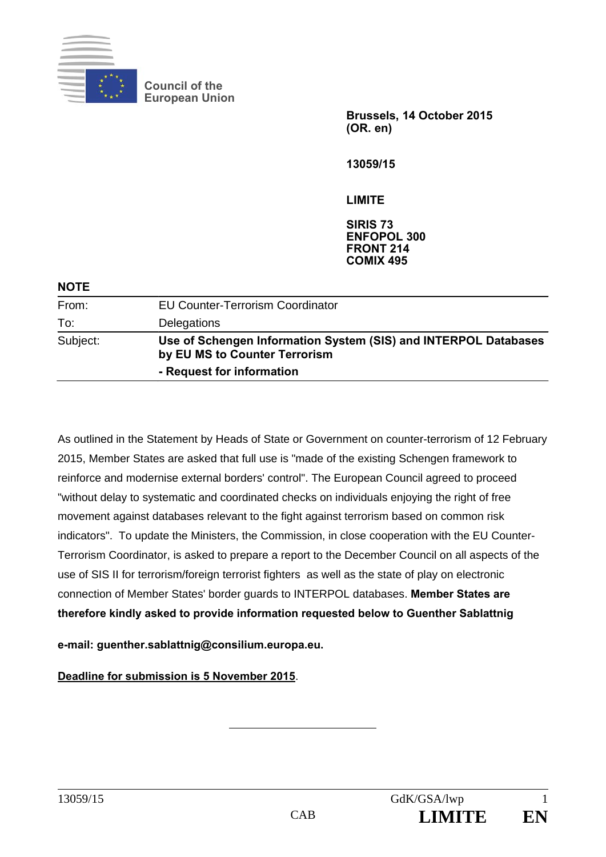

**Council of the European Union** 

> **Brussels, 14 October 2015 (OR. en)**

**13059/15** 

**LIMITE** 

**SIRIS 73 ENFOPOL 300 FRONT 214 COMIX 495**

| <b>NOTE</b> |                                                                                                  |
|-------------|--------------------------------------------------------------------------------------------------|
| From:       | <b>EU Counter-Terrorism Coordinator</b>                                                          |
| To:         | Delegations                                                                                      |
| Subject:    | Use of Schengen Information System (SIS) and INTERPOL Databases<br>by EU MS to Counter Terrorism |
|             | - Request for information                                                                        |

As outlined in the Statement by Heads of State or Government on counter-terrorism of 12 February 2015, Member States are asked that full use is "made of the existing Schengen framework to reinforce and modernise external borders' control". The European Council agreed to proceed "without delay to systematic and coordinated checks on individuals enjoying the right of free movement against databases relevant to the fight against terrorism based on common risk indicators". To update the Ministers, the Commission, in close cooperation with the EU Counter-Terrorism Coordinator, is asked to prepare a report to the December Council on all aspects of the use of SIS II for terrorism/foreign terrorist fighters as well as the state of play on electronic connection of Member States' border guards to INTERPOL databases. **Member States are therefore kindly asked to provide information requested below to Guenther Sablattnig** 

**e-mail: guenther.sablattnig@consilium.europa.eu.** 

**Deadline for submission is 5 November 2015**.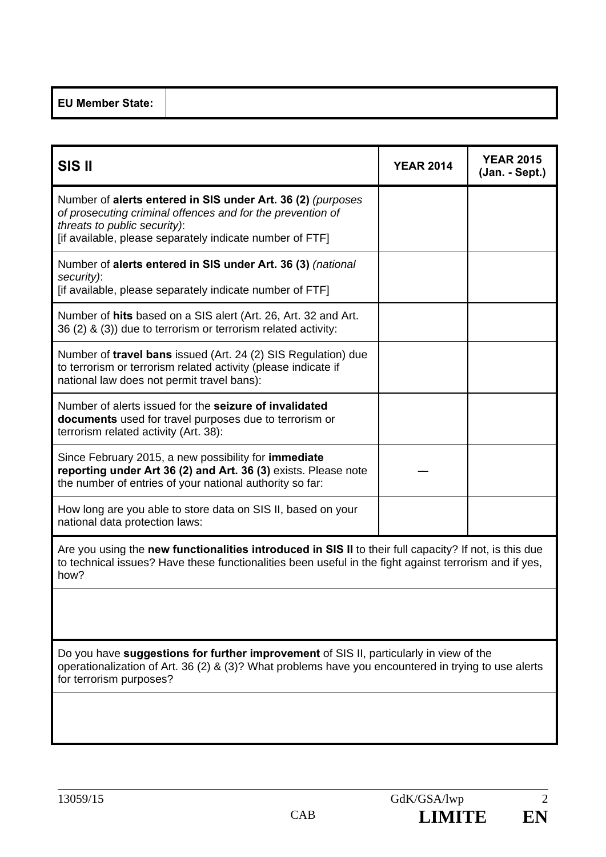|--|--|--|

| <b>SIS II</b>                                                                                                                                                                                                                   | <b>YEAR 2014</b> | <b>YEAR 2015</b><br>(Jan. - Sept.) |  |  |  |  |
|---------------------------------------------------------------------------------------------------------------------------------------------------------------------------------------------------------------------------------|------------------|------------------------------------|--|--|--|--|
| Number of alerts entered in SIS under Art. 36 (2) (purposes<br>of prosecuting criminal offences and for the prevention of<br>threats to public security):<br>[if available, please separately indicate number of FTF]           |                  |                                    |  |  |  |  |
| Number of alerts entered in SIS under Art. 36 (3) (national<br>security):<br>[if available, please separately indicate number of FTF]                                                                                           |                  |                                    |  |  |  |  |
| Number of hits based on a SIS alert (Art. 26, Art. 32 and Art.<br>36 (2) & (3)) due to terrorism or terrorism related activity:                                                                                                 |                  |                                    |  |  |  |  |
| Number of travel bans issued (Art. 24 (2) SIS Regulation) due<br>to terrorism or terrorism related activity (please indicate if<br>national law does not permit travel bans):                                                   |                  |                                    |  |  |  |  |
| Number of alerts issued for the seizure of invalidated<br>documents used for travel purposes due to terrorism or<br>terrorism related activity (Art. 38):                                                                       |                  |                                    |  |  |  |  |
| Since February 2015, a new possibility for <b>immediate</b><br>reporting under Art 36 (2) and Art. 36 (3) exists. Please note<br>the number of entries of your national authority so far:                                       |                  |                                    |  |  |  |  |
| How long are you able to store data on SIS II, based on your<br>national data protection laws:                                                                                                                                  |                  |                                    |  |  |  |  |
| Are you using the <b>new functionalities introduced in SIS II</b> to their full capacity? If not, is this due<br>to technical issues? Have these functionalities been useful in the fight against terrorism and if yes,<br>how? |                  |                                    |  |  |  |  |
|                                                                                                                                                                                                                                 |                  |                                    |  |  |  |  |
| Do you have suggestions for further improvement of SIS II, particularly in view of the<br>operationalization of Art. 36 (2) & (3)? What problems have you encountered in trying to use alerts<br>for terrorism purposes?        |                  |                                    |  |  |  |  |
|                                                                                                                                                                                                                                 |                  |                                    |  |  |  |  |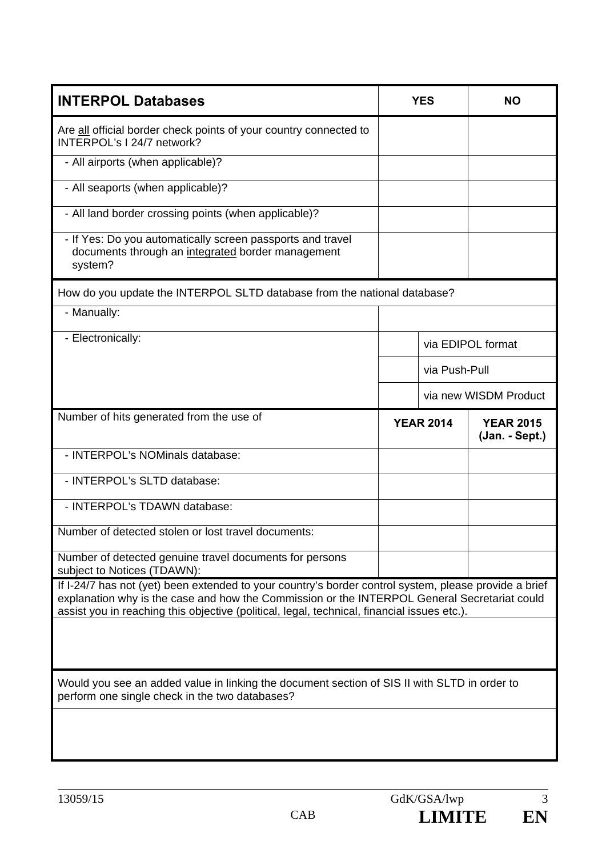| <b>INTERPOL Databases</b>                                                                                                                                                                                                                                                                            |                  | <b>YES</b>    | ΝO                                 |  |  |  |  |
|------------------------------------------------------------------------------------------------------------------------------------------------------------------------------------------------------------------------------------------------------------------------------------------------------|------------------|---------------|------------------------------------|--|--|--|--|
| Are all official border check points of your country connected to<br>INTERPOL's I 24/7 network?                                                                                                                                                                                                      |                  |               |                                    |  |  |  |  |
| - All airports (when applicable)?                                                                                                                                                                                                                                                                    |                  |               |                                    |  |  |  |  |
| - All seaports (when applicable)?                                                                                                                                                                                                                                                                    |                  |               |                                    |  |  |  |  |
| - All land border crossing points (when applicable)?                                                                                                                                                                                                                                                 |                  |               |                                    |  |  |  |  |
| - If Yes: Do you automatically screen passports and travel<br>documents through an integrated border management<br>system?                                                                                                                                                                           |                  |               |                                    |  |  |  |  |
| How do you update the INTERPOL SLTD database from the national database?                                                                                                                                                                                                                             |                  |               |                                    |  |  |  |  |
| - Manually:                                                                                                                                                                                                                                                                                          |                  |               |                                    |  |  |  |  |
| - Electronically:                                                                                                                                                                                                                                                                                    |                  |               | via EDIPOL format                  |  |  |  |  |
|                                                                                                                                                                                                                                                                                                      |                  | via Push-Pull |                                    |  |  |  |  |
|                                                                                                                                                                                                                                                                                                      |                  |               | via new WISDM Product              |  |  |  |  |
| Number of hits generated from the use of                                                                                                                                                                                                                                                             | <b>YEAR 2014</b> |               | <b>YEAR 2015</b><br>(Jan. - Sept.) |  |  |  |  |
| - INTERPOL's NOMinals database:                                                                                                                                                                                                                                                                      |                  |               |                                    |  |  |  |  |
| - INTERPOL's SLTD database:                                                                                                                                                                                                                                                                          |                  |               |                                    |  |  |  |  |
| - INTERPOL's TDAWN database:                                                                                                                                                                                                                                                                         |                  |               |                                    |  |  |  |  |
| Number of detected stolen or lost travel documents:                                                                                                                                                                                                                                                  |                  |               |                                    |  |  |  |  |
| Number of detected genuine travel documents for persons<br>subject to Notices (TDAWN):                                                                                                                                                                                                               |                  |               |                                    |  |  |  |  |
| If I-24/7 has not (yet) been extended to your country's border control system, please provide a brief<br>explanation why is the case and how the Commission or the INTERPOL General Secretariat could<br>assist you in reaching this objective (political, legal, technical, financial issues etc.). |                  |               |                                    |  |  |  |  |
|                                                                                                                                                                                                                                                                                                      |                  |               |                                    |  |  |  |  |
| Would you see an added value in linking the document section of SIS II with SLTD in order to<br>perform one single check in the two databases?                                                                                                                                                       |                  |               |                                    |  |  |  |  |
|                                                                                                                                                                                                                                                                                                      |                  |               |                                    |  |  |  |  |